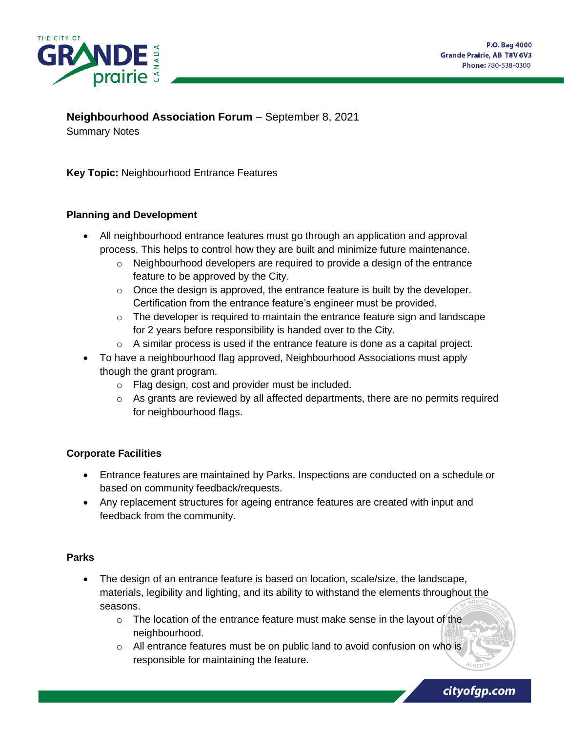

cityofgp.com

# **Neighbourhood Association Forum** – September 8, 2021

Summary Notes

**Key Topic:** Neighbourhood Entrance Features

#### **Planning and Development**

- All neighbourhood entrance features must go through an application and approval process. This helps to control how they are built and minimize future maintenance.
	- $\circ$  Neighbourhood developers are required to provide a design of the entrance feature to be approved by the City.
	- o Once the design is approved, the entrance feature is built by the developer. Certification from the entrance feature's engineer must be provided.
	- $\circ$  The developer is required to maintain the entrance feature sign and landscape for 2 years before responsibility is handed over to the City.
	- $\circ$  A similar process is used if the entrance feature is done as a capital project.
- To have a neighbourhood flag approved, Neighbourhood Associations must apply though the grant program.
	- o Flag design, cost and provider must be included.
	- $\circ$  As grants are reviewed by all affected departments, there are no permits required for neighbourhood flags.

## **Corporate Facilities**

- Entrance features are maintained by Parks. Inspections are conducted on a schedule or based on community feedback/requests.
- Any replacement structures for ageing entrance features are created with input and feedback from the community.

#### **Parks**

- The design of an entrance feature is based on location, scale/size, the landscape, materials, legibility and lighting, and its ability to withstand the elements throughout the seasons.
	- o The location of the entrance feature must make sense in the layout of the neighbourhood.
	- o All entrance features must be on public land to avoid confusion on who is responsible for maintaining the feature.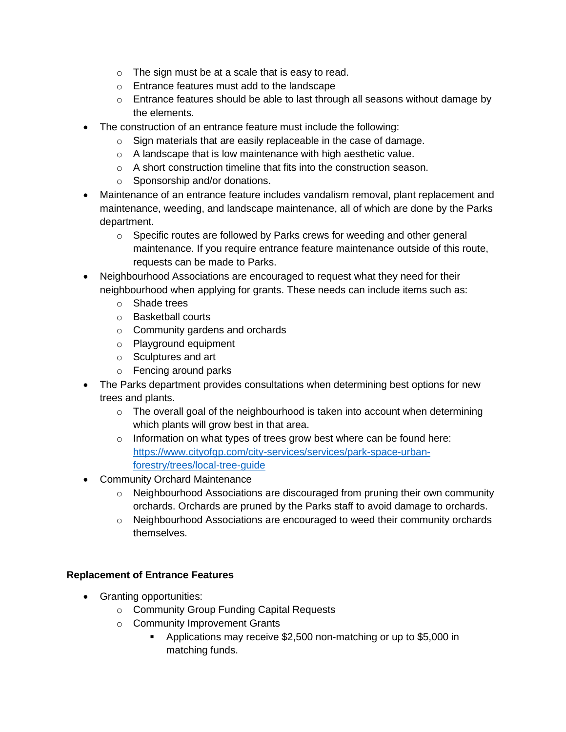- o The sign must be at a scale that is easy to read.
- o Entrance features must add to the landscape
- $\circ$  Entrance features should be able to last through all seasons without damage by the elements.
- The construction of an entrance feature must include the following:
	- o Sign materials that are easily replaceable in the case of damage.
	- o A landscape that is low maintenance with high aesthetic value.
	- o A short construction timeline that fits into the construction season.
	- o Sponsorship and/or donations.
- Maintenance of an entrance feature includes vandalism removal, plant replacement and maintenance, weeding, and landscape maintenance, all of which are done by the Parks department.
	- $\circ$  Specific routes are followed by Parks crews for weeding and other general maintenance. If you require entrance feature maintenance outside of this route, requests can be made to Parks.
- Neighbourhood Associations are encouraged to request what they need for their neighbourhood when applying for grants. These needs can include items such as:
	- o Shade trees
	- o Basketball courts
	- o Community gardens and orchards
	- o Playground equipment
	- o Sculptures and art
	- o Fencing around parks
- The Parks department provides consultations when determining best options for new trees and plants.
	- $\circ$  The overall goal of the neighbourhood is taken into account when determining which plants will grow best in that area.
	- o Information on what types of trees grow best where can be found here: [https://www.cityofgp.com/city-services/services/park-space-urban](https://www.cityofgp.com/city-services/services/park-space-urban-forestry/trees/local-tree-guide)[forestry/trees/local-tree-guide](https://www.cityofgp.com/city-services/services/park-space-urban-forestry/trees/local-tree-guide)
- Community Orchard Maintenance
	- o Neighbourhood Associations are discouraged from pruning their own community orchards. Orchards are pruned by the Parks staff to avoid damage to orchards.
	- $\circ$  Neighbourhood Associations are encouraged to weed their community orchards themselves.

## **Replacement of Entrance Features**

- Granting opportunities:
	- o Community Group Funding Capital Requests
	- o Community Improvement Grants
		- Applications may receive \$2,500 non-matching or up to \$5,000 in matching funds.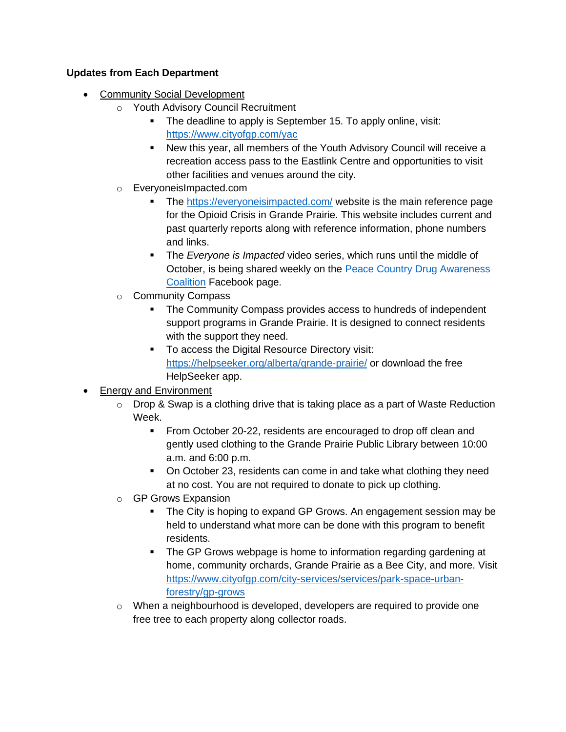#### **Updates from Each Department**

- Community Social Development
	- o Youth Advisory Council Recruitment
		- **•** The deadline to apply is September 15. To apply online, visit: <https://www.cityofgp.com/yac>
		- New this year, all members of the Youth Advisory Council will receive a recreation access pass to the Eastlink Centre and opportunities to visit other facilities and venues around the city.
	- o EveryoneisImpacted.com
		- The<https://everyoneisimpacted.com/> website is the main reference page for the Opioid Crisis in Grande Prairie. This website includes current and past quarterly reports along with reference information, phone numbers and links.
		- **The Everyone is Impacted video series, which runs until the middle of** October, is being shared weekly on the [Peace Country Drug Awareness](https://www.facebook.com/PeaceDrugAwareness)  [Coalition](https://www.facebook.com/PeaceDrugAwareness) Facebook page.
	- o Community Compass
		- The Community Compass provides access to hundreds of independent support programs in Grande Prairie. It is designed to connect residents with the support they need.
		- To access the Digital Resource Directory visit: <https://helpseeker.org/alberta/grande-prairie/> or download the free HelpSeeker app.

# • Energy and Environment

- $\circ$  Drop & Swap is a clothing drive that is taking place as a part of Waste Reduction Week.
	- **From October 20-22, residents are encouraged to drop off clean and** gently used clothing to the Grande Prairie Public Library between 10:00 a.m. and 6:00 p.m.
	- On October 23, residents can come in and take what clothing they need at no cost. You are not required to donate to pick up clothing.
- o GP Grows Expansion
	- The City is hoping to expand GP Grows. An engagement session may be held to understand what more can be done with this program to benefit residents.
	- The GP Grows webpage is home to information regarding gardening at home, community orchards, Grande Prairie as a Bee City, and more. Visit [https://www.cityofgp.com/city-services/services/park-space-urban](https://www.cityofgp.com/city-services/services/park-space-urban-forestry/gp-grows)[forestry/gp-grows](https://www.cityofgp.com/city-services/services/park-space-urban-forestry/gp-grows)
- $\circ$  When a neighbourhood is developed, developers are required to provide one free tree to each property along collector roads.